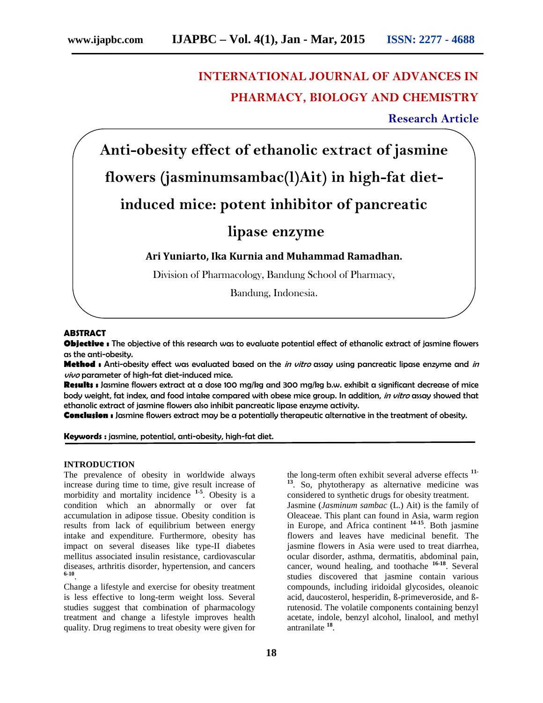# **INTERNATIONAL JOURNAL OF ADVANCES IN PHARMACY, BIOLOGY AND CHEMISTRY**

**Research Article**

**Anti-obesity effect of ethanolic extract of jasmine flowers (jasminumsambac(l)Ait) in high-fat dietinduced mice: potent inhibitor of pancreatic lipase enzyme Ari Yuniarto, Ika Kurnia and Muhammad Ramadhan.** Division of Pharmacology, Bandung School of Pharmacy, Bandung, Indonesia.

**ABSTRACT**

**Objective :** The objective of this research was to evaluate potential effect of ethanolic extract of jasmine flowers as the anti-obesity.

**Method :** Anti-obesity effect was evaluated based on the *in vitro* assay using pancreatic lipase enzyme and *in vivo* parameter of high-fat diet-induced mice.

**Results :** Jasmine flowers extract at a dose 100 mg/kg and 300 mg/kg b.w. exhibit a significant decrease of mice body weight, fat index, and food intake compared with obese mice group. In addition, *in vitro* assay showed that ethanolic extract of jasmine flowers also inhibit pancreatic lipase enzyme activity.

**Conclusion :** Jasmine flowers extract may be a potentially therapeutic alternative in the treatment of obesity.

**Keywords :** jasmine, potential, anti-obesity, high-fat diet.

## **INTRODUCTION**

The prevalence of obesity in worldwide always increase during time to time, give result increase of morbidity and mortality incidence **1-5** . Obesity is a condition which an abnormally or over fat accumulation in adipose tissue. Obesity condition is results from lack of equilibrium between energy intake and expenditure. Furthermore, obesity has impact on several diseases like type-II diabetes mellitus associated insulin resistance, cardiovascular diseases, arthritis disorder, hypertension, and cancers **6-10** .

Change a lifestyle and exercise for obesity treatment is less effective to long-term weight loss. Several studies suggest that combination of pharmacology treatment and change a lifestyle improves health quality. Drug regimens to treat obesity were given for

**18**

the long-term often exhibit several adverse effects **11- <sup>13</sup>**. So, phytotherapy as alternative medicine was considered to synthetic drugs for obesity treatment. Jasmine (*Jasminum sambac* (L.) Ait) is the family of Oleaceae. This plant can found in Asia, warm region in Europe, and Africa continent **14-15** . Both jasmine flowers and leaves have medicinal benefit. The jasmine flowers in Asia were used to treat diarrhea, ocular disorder, asthma, dermatitis, abdominal pain, cancer, wound healing, and toothache **16-18** . Several studies discovered that jasmine contain various compounds, including iridoidal glycosides, oleanoic acid, daucosterol, hesperidin, ß-primeveroside, and ßrutenosid. The volatile components containing benzyl acetate, indole, benzyl alcohol, linalool, and methyl antranilate **<sup>18</sup>** .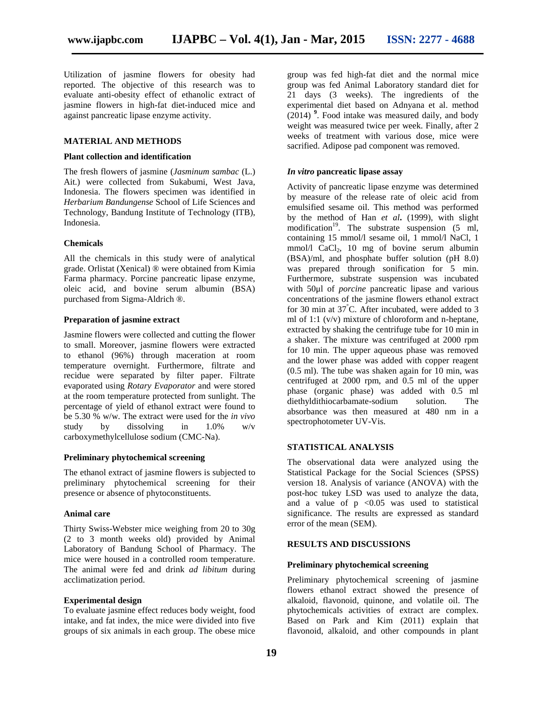Utilization of jasmine flowers for obesity had reported. The objective of this research was to evaluate anti-obesity effect of ethanolic extract of jasmine flowers in high-fat diet-induced mice and against pancreatic lipase enzyme activity.

## **MATERIAL AND METHODS**

## **Plant collection and identification**

The fresh flowers of jasmine (*Jasminum sambac* (L.) Ait.) were collected from Sukabumi, West Java, Indonesia. The flowers specimen was identified in *Herbarium Bandungense* School of Life Sciences and Technology, Bandung Institute of Technology (ITB), Indonesia.

#### **Chemicals**

All the chemicals in this study were of analytical grade. Orlistat (Xenical) ® were obtained from Kimia Farma pharmacy. Porcine pancreatic lipase enzyme, oleic acid, and bovine serum albumin (BSA) purchased from Sigma-Aldrich ®.

## **Preparation of jasmine extract**

Jasmine flowers were collected and cutting the flower to small. Moreover, jasmine flowers were extracted to ethanol (96%) through maceration at room temperature overnight. Furthermore, filtrate and recidue were separated by filter paper. Filtrate evaporated using *Rotary Evaporator* and were stored at the room temperature protected from sunlight. The percentage of yield of ethanol extract were found to be 5.30 % w/w. The extract were used for the *in vivo* study by dissolving in 1.0% w/v carboxymethylcellulose sodium (CMC-Na).

#### **Preliminary phytochemical screening**

The ethanol extract of jasmine flowers is subjected to preliminary phytochemical screening for their presence or absence of phytoconstituents.

## **Animal care**

Thirty Swiss-Webster mice weighing from 20 to 30g (2 to 3 month weeks old) provided by Animal Laboratory of Bandung School of Pharmacy. The mice were housed in a controlled room temperature. The animal were fed and drink *ad libitum* during acclimatization period.

## **Experimental design**

To evaluate jasmine effect reduces body weight, food intake, and fat index, the mice were divided into five groups of six animals in each group. The obese mice group was fed high-fat diet and the normal mice group was fed Animal Laboratory standard diet for 21 days (3 weeks). The ingredients of the experimental diet based on Adnyana et al. method  $(2014)$ <sup>9</sup>. Food intake was measured daily, and body weight was measured twice per week. Finally, after 2 weeks of treatment with various dose, mice were sacrified. Adipose pad component was removed.

## *In vitro* **pancreatic lipase assay**

Activity of pancreatic lipase enzyme was determined by measure of the release rate of oleic acid from emulsified sesame oil. This method was performed by the method of Han *et al***.** (1999), with slight modification<sup>19</sup>. The substrate suspension (5 ml, containing 15 mmol/l sesame oil, 1 mmol/l NaCl, 1 mmol/l  $CaCl<sub>2</sub>$ , 10 mg of bovine serum albumin (BSA)/ml, and phosphate buffer solution (pH 8.0) was prepared through sonification for 5 min. Furthermore, substrate suspension was incubated with 50μl of *porcine* pancreatic lipase and various concentrations of the jasmine flowers ethanol extract for 30 min at 37°C. After incubated, were added to 3 ml of 1:1 (v/v) mixture of chloroform and n-heptane, extracted by shaking the centrifuge tube for 10 min in a shaker. The mixture was centrifuged at 2000 rpm for 10 min. The upper aqueous phase was removed and the lower phase was added with copper reagent (0.5 ml). The tube was shaken again for 10 min, was centrifuged at 2000 rpm, and 0.5 ml of the upper phase (organic phase) was added with 0.5 ml diethyldithiocarbamate-sodium solution. The absorbance was then measured at 480 nm in a spectrophotometer UV-Vis.

## **STATISTICAL ANALYSIS**

The observational data were analyzed using the Statistical Package for the Social Sciences (SPSS) version 18. Analysis of variance (ANOVA) with the post-hoc tukey LSD was used to analyze the data, and a value of  $p \le 0.05$  was used to statistical significance. The results are expressed as standard error of the mean (SEM).

## **RESULTS AND DISCUSSIONS**

#### **Preliminary phytochemical screening**

Preliminary phytochemical screening of jasmine flowers ethanol extract showed the presence of alkaloid, flavonoid, quinone, and volatile oil. The phytochemicals activities of extract are complex. Based on Park and Kim (2011) explain that flavonoid, alkaloid, and other compounds in plant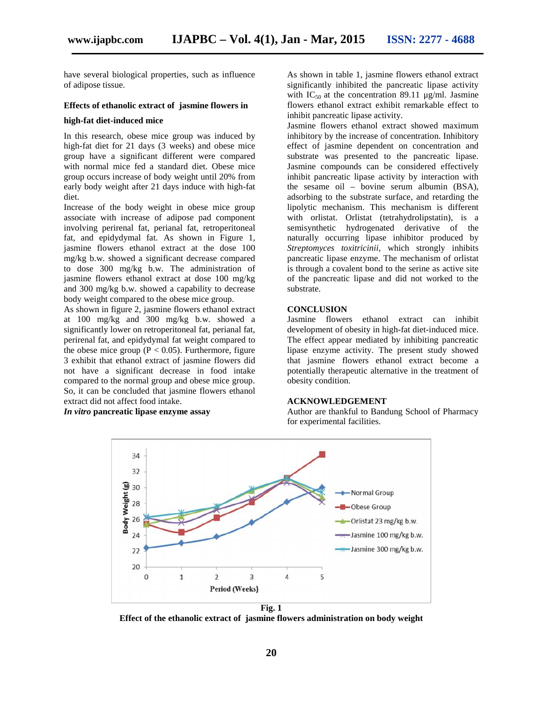have several biological properties, such as influence of adipose tissue.

#### **Effects of ethanolic extract of jasmine flowers in**

#### **high-fat diet-induced mice**

In this research, obese mice group was induced by high-fat diet for 21 days (3 weeks) and obese mice group have a significant different were compared with normal mice fed a standard diet. Obese mice group occurs increase of body weight until 20% from early body weight after 21 days induce with high-fat diet.

Increase of the body weight in obese mice group associate with increase of adipose pad component involving perirenal fat, perianal fat, retroperitoneal fat, and epidydymal fat. As shown in Figure 1, jasmine flowers ethanol extract at the dose 100 mg/kg b.w. showed a significant decrease compared to dose 300 mg/kg b.w. The administration of jasmine flowers ethanol extract at dose 100 mg/kg and 300 mg/kg b.w. showed a capability to decrease body weight compared to the obese mice group.

As shown in figure 2, jasmine flowers ethanol extract at 100 mg/kg and 300 mg/kg b.w. showed a significantly lower on retroperitoneal fat, perianal fat, perirenal fat, and epidydymal fat weight compared to the obese mice group ( $P < 0.05$ ). Furthermore, figure 3 exhibit that ethanol extract of jasmine flowers did not have a significant decrease in food intake compared to the normal group and obese mice group. So, it can be concluded that jasmine flowers ethanol extract did not affect food intake.

*In vitro* **pancreatic lipase enzyme assay**

As shown in table 1, jasmine flowers ethanol extract significantly inhibited the pancreatic lipase activity with  $IC_{50}$  at the concentration 89.11 µg/ml. Jasmine flowers ethanol extract exhibit remarkable effect to inhibit pancreatic lipase activity.

Jasmine flowers ethanol extract showed maximum inhibitory by the increase of concentration. Inhibitory effect of jasmine dependent on concentration and substrate was presented to the pancreatic lipase. Jasmine compounds can be considered effectively inhibit pancreatic lipase activity by interaction with the sesame oil – bovine serum albumin (BSA), adsorbing to the substrate surface, and retarding the lipolytic mechanism. This mechanism is different with orlistat. Orlistat (tetrahydrolipstatin), is a semisynthetic hydrogenated derivative of the naturally occurring lipase inhibitor produced by *Streptomyces toxitricinii*, which strongly inhibits pancreatic lipase enzyme. The mechanism of orlistat is through a covalent bond to the serine as active site of the pancreatic lipase and did not worked to the substrate.

# **CONCLUSION**

Jasmine flowers ethanol extract can inhibit development of obesity in high-fat diet-induced mice. The effect appear mediated by inhibiting pancreatic lipase enzyme activity. The present study showed that jasmine flowers ethanol extract become a potentially therapeutic alternative in the treatment of obesity condition.

## **ACKNOWLEDGEMENT**

Author are thankful to Bandung School of Pharmacy for experimental facilities.



**Fig. 1**

**Effect of the ethanolic extract of jasmine flowers administration on body weight**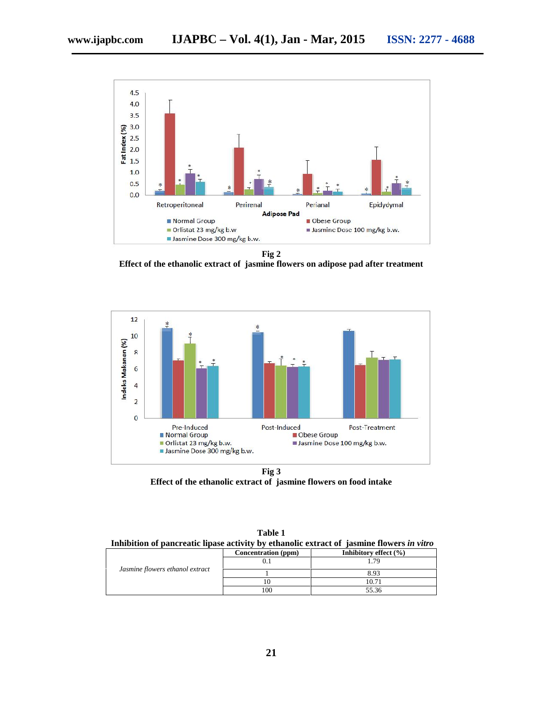

**Fig 2**

**Effect of the ethanolic extract of jasmine flowers on adipose pad after treatment**



**Fig 3 Effect of the ethanolic extract of jasmine flowers on food intake**

| Inhibition of pancreatic lipase activity by ethanolic extract of jasmine flowers in vitro |                     |                           |
|-------------------------------------------------------------------------------------------|---------------------|---------------------------|
|                                                                                           | Concentration (ppm) | Inhibitory effect $(\% )$ |
| Jasmine flowers ethanol extract                                                           |                     | -79                       |
|                                                                                           |                     | 8.93                      |
|                                                                                           |                     | 10.71                     |
|                                                                                           | 100                 | 55.36                     |

**Table 1**